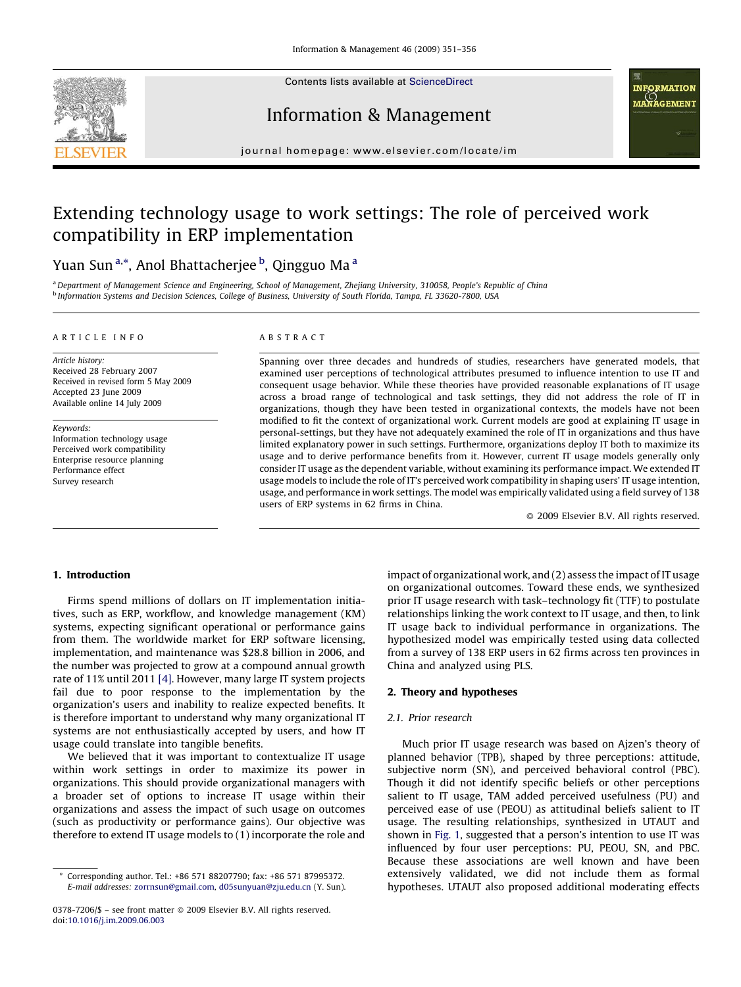

Contents lists available at [ScienceDirect](http://www.sciencedirect.com/science/journal/03787206)

Information & Management



journal homepage: www.elsevier.com/locate/im

# Extending technology usage to work settings: The role of perceived work compatibility in ERP implementation

# Yuan Sun<sup>a,</sup>\*, Anol Bhattacherjee <sup>b</sup>, Qingguo Ma <sup>a</sup>

a Department of Management Science and Engineering, School of Management, Zhejiang University, 310058, People's Republic of China <sup>b</sup> Information Systems and Decision Sciences, College of Business, University of South Florida, Tampa, FL 33620-7800, USA

#### ARTICLE INFO

Article history: Received 28 February 2007 Received in revised form 5 May 2009 Accepted 23 June 2009 Available online 14 July 2009

Keywords: Information technology usage Perceived work compatibility Enterprise resource planning Performance effect Survey research

#### ABSTRACT

Spanning over three decades and hundreds of studies, researchers have generated models, that examined user perceptions of technological attributes presumed to influence intention to use IT and consequent usage behavior. While these theories have provided reasonable explanations of IT usage across a broad range of technological and task settings, they did not address the role of IT in organizations, though they have been tested in organizational contexts, the models have not been modified to fit the context of organizational work. Current models are good at explaining IT usage in personal-settings, but they have not adequately examined the role of IT in organizations and thus have limited explanatory power in such settings. Furthermore, organizations deploy IT both to maximize its usage and to derive performance benefits from it. However, current IT usage models generally only consider IT usage as the dependent variable, without examining its performance impact. We extended IT usage models to include the role of IT's perceived work compatibility in shaping users' IT usage intention, usage, and performance in work settings. The model was empirically validated using a field survey of 138 users of ERP systems in 62 firms in China.

 $\odot$  2009 Elsevier B.V. All rights reserved.

## 1. Introduction

Firms spend millions of dollars on IT implementation initiatives, such as ERP, workflow, and knowledge management (KM) systems, expecting significant operational or performance gains from them. The worldwide market for ERP software licensing, implementation, and maintenance was \$28.8 billion in 2006, and the number was projected to grow at a compound annual growth rate of 11% until 2011 [\[4\].](#page--1-0) However, many large IT system projects fail due to poor response to the implementation by the organization's users and inability to realize expected benefits. It is therefore important to understand why many organizational IT systems are not enthusiastically accepted by users, and how IT usage could translate into tangible benefits.

We believed that it was important to contextualize IT usage within work settings in order to maximize its power in organizations. This should provide organizational managers with a broader set of options to increase IT usage within their organizations and assess the impact of such usage on outcomes (such as productivity or performance gains). Our objective was therefore to extend IT usage models to (1) incorporate the role and impact of organizational work, and (2) assess the impact of IT usage on organizational outcomes. Toward these ends, we synthesized prior IT usage research with task–technology fit (TTF) to postulate relationships linking the work context to IT usage, and then, to link IT usage back to individual performance in organizations. The hypothesized model was empirically tested using data collected from a survey of 138 ERP users in 62 firms across ten provinces in China and analyzed using PLS.

# 2. Theory and hypotheses

### 2.1. Prior research

Much prior IT usage research was based on Ajzen's theory of planned behavior (TPB), shaped by three perceptions: attitude, subjective norm (SN), and perceived behavioral control (PBC). Though it did not identify specific beliefs or other perceptions salient to IT usage, TAM added perceived usefulness (PU) and perceived ease of use (PEOU) as attitudinal beliefs salient to IT usage. The resulting relationships, synthesized in UTAUT and shown in [Fig. 1](#page-1-0), suggested that a person's intention to use IT was influenced by four user perceptions: PU, PEOU, SN, and PBC. Because these associations are well known and have been extensively validated, we did not include them as formal hypotheses. UTAUT also proposed additional moderating effects

Corresponding author. Tel.: +86 571 88207790; fax: +86 571 87995372. E-mail addresses: [zorrnsun@gmail.com](mailto:zorrnsun@gmail.com), [d05sunyuan@zju.edu.cn](mailto:d05sunyuan@zju.edu.cn) (Y. Sun).

<sup>0378-7206/\$ –</sup> see front matter © 2009 Elsevier B.V. All rights reserved. doi:[10.1016/j.im.2009.06.003](http://dx.doi.org/10.1016/j.im.2009.06.003)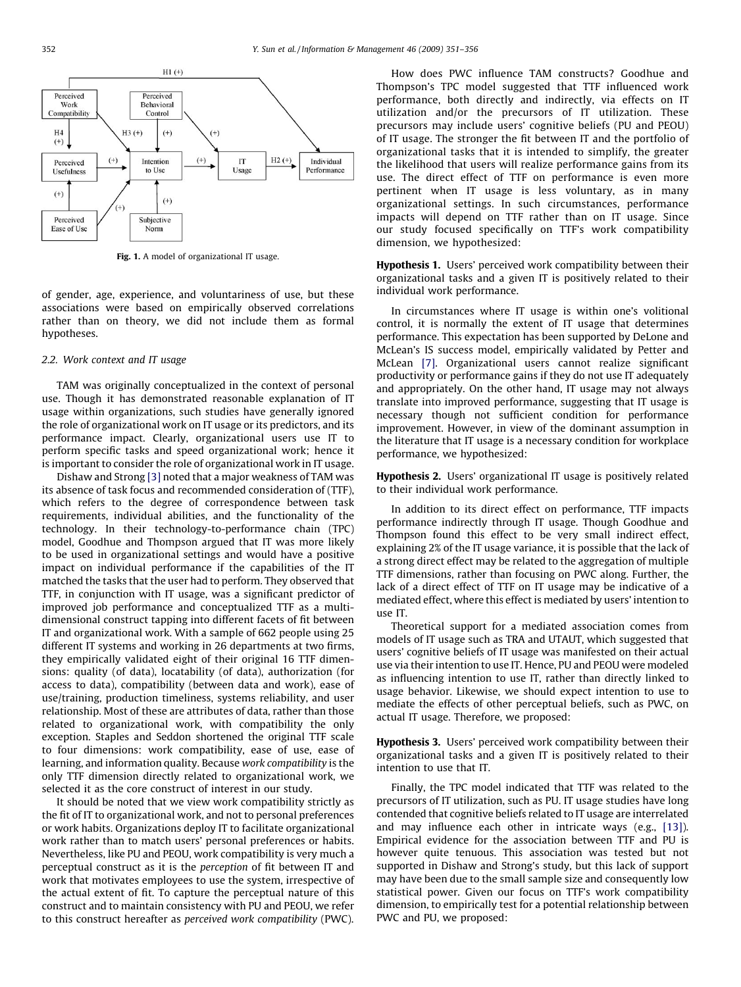<span id="page-1-0"></span>

Fig. 1. A model of organizational IT usage.

of gender, age, experience, and voluntariness of use, but these associations were based on empirically observed correlations rather than on theory, we did not include them as formal hypotheses.

### 2.2. Work context and IT usage

TAM was originally conceptualized in the context of personal use. Though it has demonstrated reasonable explanation of IT usage within organizations, such studies have generally ignored the role of organizational work on IT usage or its predictors, and its performance impact. Clearly, organizational users use IT to perform specific tasks and speed organizational work; hence it is important to consider the role of organizational work in IT usage.

Dishaw and Strong [\[3\]](#page--1-0) noted that a major weakness of TAM was its absence of task focus and recommended consideration of (TTF), which refers to the degree of correspondence between task requirements, individual abilities, and the functionality of the technology. In their technology-to-performance chain (TPC) model, Goodhue and Thompson argued that IT was more likely to be used in organizational settings and would have a positive impact on individual performance if the capabilities of the IT matched the tasks that the user had to perform. They observed that TTF, in conjunction with IT usage, was a significant predictor of improved job performance and conceptualized TTF as a multidimensional construct tapping into different facets of fit between IT and organizational work. With a sample of 662 people using 25 different IT systems and working in 26 departments at two firms, they empirically validated eight of their original 16 TTF dimensions: quality (of data), locatability (of data), authorization (for access to data), compatibility (between data and work), ease of use/training, production timeliness, systems reliability, and user relationship. Most of these are attributes of data, rather than those related to organizational work, with compatibility the only exception. Staples and Seddon shortened the original TTF scale to four dimensions: work compatibility, ease of use, ease of learning, and information quality. Because work compatibility is the only TTF dimension directly related to organizational work, we selected it as the core construct of interest in our study.

It should be noted that we view work compatibility strictly as the fit of IT to organizational work, and not to personal preferences or work habits. Organizations deploy IT to facilitate organizational work rather than to match users' personal preferences or habits. Nevertheless, like PU and PEOU, work compatibility is very much a perceptual construct as it is the perception of fit between IT and work that motivates employees to use the system, irrespective of the actual extent of fit. To capture the perceptual nature of this construct and to maintain consistency with PU and PEOU, we refer to this construct hereafter as perceived work compatibility (PWC).

How does PWC influence TAM constructs? Goodhue and Thompson's TPC model suggested that TTF influenced work performance, both directly and indirectly, via effects on IT utilization and/or the precursors of IT utilization. These precursors may include users' cognitive beliefs (PU and PEOU) of IT usage. The stronger the fit between IT and the portfolio of organizational tasks that it is intended to simplify, the greater the likelihood that users will realize performance gains from its use. The direct effect of TTF on performance is even more pertinent when IT usage is less voluntary, as in many organizational settings. In such circumstances, performance impacts will depend on TTF rather than on IT usage. Since our study focused specifically on TTF's work compatibility dimension, we hypothesized:

Hypothesis 1. Users' perceived work compatibility between their organizational tasks and a given IT is positively related to their individual work performance.

In circumstances where IT usage is within one's volitional control, it is normally the extent of IT usage that determines performance. This expectation has been supported by DeLone and McLean's IS success model, empirically validated by Petter and McLean [\[7\].](#page--1-0) Organizational users cannot realize significant productivity or performance gains if they do not use IT adequately and appropriately. On the other hand, IT usage may not always translate into improved performance, suggesting that IT usage is necessary though not sufficient condition for performance improvement. However, in view of the dominant assumption in the literature that IT usage is a necessary condition for workplace performance, we hypothesized:

# Hypothesis 2. Users' organizational IT usage is positively related to their individual work performance.

In addition to its direct effect on performance, TTF impacts performance indirectly through IT usage. Though Goodhue and Thompson found this effect to be very small indirect effect, explaining 2% of the IT usage variance, it is possible that the lack of a strong direct effect may be related to the aggregation of multiple TTF dimensions, rather than focusing on PWC along. Further, the lack of a direct effect of TTF on IT usage may be indicative of a mediated effect, where this effect is mediated by users' intention to use IT.

Theoretical support for a mediated association comes from models of IT usage such as TRA and UTAUT, which suggested that users' cognitive beliefs of IT usage was manifested on their actual use via their intention to use IT. Hence, PU and PEOU were modeled as influencing intention to use IT, rather than directly linked to usage behavior. Likewise, we should expect intention to use to mediate the effects of other perceptual beliefs, such as PWC, on actual IT usage. Therefore, we proposed:

Hypothesis 3. Users' perceived work compatibility between their organizational tasks and a given IT is positively related to their intention to use that IT.

Finally, the TPC model indicated that TTF was related to the precursors of IT utilization, such as PU. IT usage studies have long contended that cognitive beliefs related to IT usage are interrelated and may influence each other in intricate ways (e.g., [\[13\]\)](#page--1-0). Empirical evidence for the association between TTF and PU is however quite tenuous. This association was tested but not supported in Dishaw and Strong's study, but this lack of support may have been due to the small sample size and consequently low statistical power. Given our focus on TTF's work compatibility dimension, to empirically test for a potential relationship between PWC and PU, we proposed: